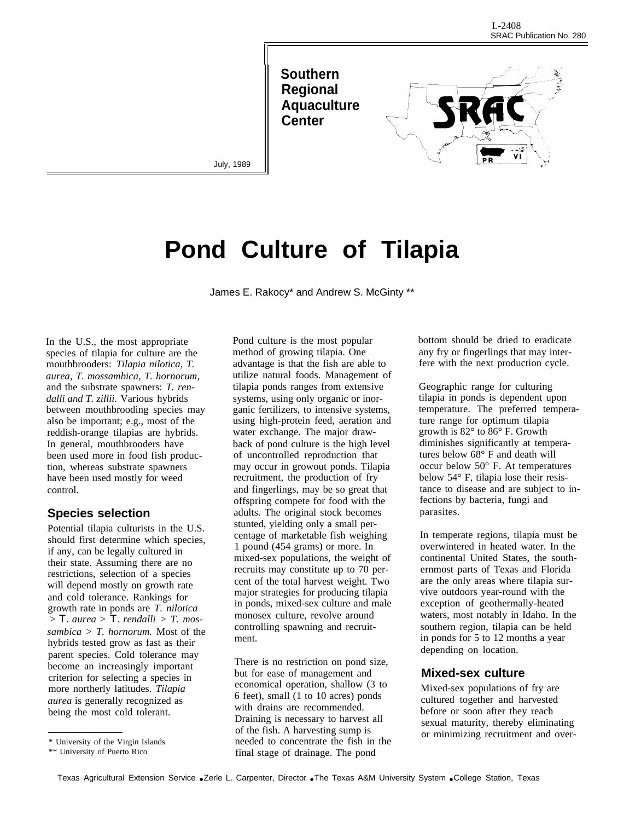**Southern Regional Aquaculture Center**



July, 1989

# **Pond Culture of Tilapia**

James E. Rakocy\* and Andrew S. McGinty \*\*

In the U.S., the most appropriate species of tilapia for culture are the mouthbrooders: *Tilapia nilotica, T. aurea, T. mossambica, T. hornorum,* and the substrate spawners: *T. rendalli and T. zillii.* Various hybrids between mouthbrooding species may also be important; e.g., most of the reddish-orange tilapias are hybrids. In general, mouthbrooders have been used more in food fish production, whereas substrate spawners have been used mostly for weed control.

### **Species selection**

Potential tilapia culturists in the U.S. should first determine which species, if any, can be legally cultured in their state. Assuming there are no restrictions, selection of a species will depend mostly on growth rate and cold tolerance. Rankings for growth rate in ponds are *T. nilotica > T. aurea > T. rendalli > T. mossambica > T. hornorum.* Most of the hybrids tested grow as fast as their parent species. Cold tolerance may become an increasingly important criterion for selecting a species in more northerly latitudes. *Tilapia aurea* is generally recognized as being the most cold tolerant.

Pond culture is the most popular method of growing tilapia. One advantage is that the fish are able to utilize natural foods. Management of tilapia ponds ranges from extensive systems, using only organic or inorganic fertilizers, to intensive systems, using high-protein feed, aeration and water exchange. The major drawback of pond culture is the high level of uncontrolled reproduction that may occur in growout ponds. Tilapia recruitment, the production of fry and fingerlings, may be so great that offspring compete for food with the adults. The original stock becomes stunted, yielding only a small percentage of marketable fish weighing 1 pound (454 grams) or more. In mixed-sex populations, the weight of recruits may constitute up to 70 percent of the total harvest weight. Two major strategies for producing tilapia in ponds, mixed-sex culture and male monosex culture, revolve around controlling spawning and recruitment.

There is no restriction on pond size, but for ease of management and economical operation, shallow (3 to 6 feet), small (1 to 10 acres) ponds with drains are recommended. Draining is necessary to harvest all of the fish. A harvesting sump is needed to concentrate the fish in the final stage of drainage. The pond

bottom should be dried to eradicate any fry or fingerlings that may interfere with the next production cycle.

Geographic range for culturing tilapia in ponds is dependent upon temperature. The preferred temperature range for optimum tilapia growth is 82° to 86° F. Growth diminishes significantly at temperatures below 68° F and death will occur below 50° F. At temperatures below 54° F, tilapia lose their resistance to disease and are subject to infections by bacteria, fungi and parasites.

In temperate regions, tilapia must be overwintered in heated water. In the continental United States, the southernmost parts of Texas and Florida are the only areas where tilapia survive outdoors year-round with the exception of geothermally-heated waters, most notably in Idaho. In the southern region, tilapia can be held in ponds for 5 to 12 months a year depending on location.

#### **Mixed-sex culture**

Mixed-sex populations of fry are cultured together and harvested before or soon after they reach sexual maturity, thereby eliminating or minimizing recruitment and over-

<sup>\*</sup> University of the Virgin Islands

<sup>\*\*</sup> University of Puerto Rico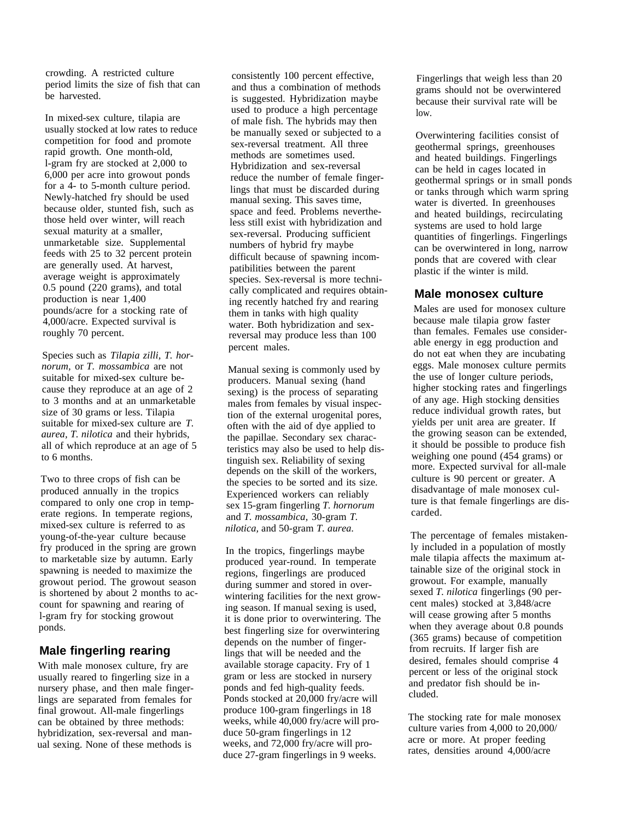crowding. A restricted culture period limits the size of fish that can be harvested.

In mixed-sex culture, tilapia are usually stocked at low rates to reduce competition for food and promote rapid growth. One month-old, l-gram fry are stocked at 2,000 to 6,000 per acre into growout ponds for a 4- to 5-month culture period. Newly-hatched fry should be used because older, stunted fish, such as those held over winter, will reach sexual maturity at a smaller, unmarketable size. Supplemental feeds with 25 to 32 percent protein are generally used. At harvest, average weight is approximately 0.5 pound (220 grams), and total production is near 1,400 pounds/acre for a stocking rate of 4,000/acre. Expected survival is roughly 70 percent.

Species such as *Tilapia zilli, T. hornorum,* or *T. mossambica* are not suitable for mixed-sex culture because they reproduce at an age of 2 to 3 months and at an unmarketable size of 30 grams or less. Tilapia suitable for mixed-sex culture are *T. aurea, T. nilotica* and their hybrids, all of which reproduce at an age of 5 to 6 months.

Two to three crops of fish can be produced annually in the tropics compared to only one crop in temperate regions. In temperate regions, mixed-sex culture is referred to as young-of-the-year culture because fry produced in the spring are grown to marketable size by autumn. Early spawning is needed to maximize the growout period. The growout season is shortened by about 2 months to account for spawning and rearing of l-gram fry for stocking growout ponds.

## **Male fingerling rearing**

With male monosex culture, fry are usually reared to fingerling size in a nursery phase, and then male fingerlings are separated from females for final growout. All-male fingerlings can be obtained by three methods: hybridization, sex-reversal and manual sexing. None of these methods is

consistently 100 percent effective, and thus a combination of methods is suggested. Hybridization maybe used to produce a high percentage of male fish. The hybrids may then be manually sexed or subjected to a sex-reversal treatment. All three methods are sometimes used. Hybridization and sex-reversal reduce the number of female fingerlings that must be discarded during manual sexing. This saves time, space and feed. Problems nevertheless still exist with hybridization and sex-reversal. Producing sufficient numbers of hybrid fry maybe difficult because of spawning incompatibilities between the parent species. Sex-reversal is more technically complicated and requires obtaining recently hatched fry and rearing them in tanks with high quality water. Both hybridization and sexreversal may produce less than 100 percent males.

Manual sexing is commonly used by producers. Manual sexing (hand sexing) is the process of separating males from females by visual inspection of the external urogenital pores, often with the aid of dye applied to the papillae. Secondary sex characteristics may also be used to help distinguish sex. Reliability of sexing depends on the skill of the workers, the species to be sorted and its size. Experienced workers can reliably sex 15-gram fingerling *T. hornorum* and *T. mossambica,* 30-gram *T. nilotica,* and 50-gram *T. aurea.*

In the tropics, fingerlings maybe produced year-round. In temperate regions, fingerlings are produced during summer and stored in overwintering facilities for the next growing season. If manual sexing is used, it is done prior to overwintering. The best fingerling size for overwintering depends on the number of fingerlings that will be needed and the available storage capacity. Fry of 1 gram or less are stocked in nursery ponds and fed high-quality feeds. Ponds stocked at 20,000 fry/acre will produce 100-gram fingerlings in 18 weeks, while 40,000 fry/acre will produce 50-gram fingerlings in 12 weeks, and 72,000 fry/acre will produce 27-gram fingerlings in 9 weeks.

Fingerlings that weigh less than 20 grams should not be overwintered because their survival rate will be  $\log$ 

Overwintering facilities consist of geothermal springs, greenhouses and heated buildings. Fingerlings can be held in cages located in geothermal springs or in small ponds or tanks through which warm spring water is diverted. In greenhouses and heated buildings, recirculating systems are used to hold large quantities of fingerlings. Fingerlings can be overwintered in long, narrow ponds that are covered with clear plastic if the winter is mild.

### **Male monosex culture**

Males are used for monosex culture because male tilapia grow faster than females. Females use considerable energy in egg production and do not eat when they are incubating eggs. Male monosex culture permits the use of longer culture periods, higher stocking rates and fingerlings of any age. High stocking densities reduce individual growth rates, but yields per unit area are greater. If the growing season can be extended, it should be possible to produce fish weighing one pound (454 grams) or more. Expected survival for all-male culture is 90 percent or greater. A disadvantage of male monosex culture is that female fingerlings are discarded.

The percentage of females mistakenly included in a population of mostly male tilapia affects the maximum attainable size of the original stock in growout. For example, manually sexed *T. nilotica* fingerlings (90 percent males) stocked at 3,848/acre will cease growing after 5 months when they average about 0.8 pounds (365 grams) because of competition from recruits. If larger fish are desired, females should comprise 4 percent or less of the original stock and predator fish should be included.

The stocking rate for male monosex culture varies from 4,000 to 20,000/ acre or more. At proper feeding rates, densities around 4,000/acre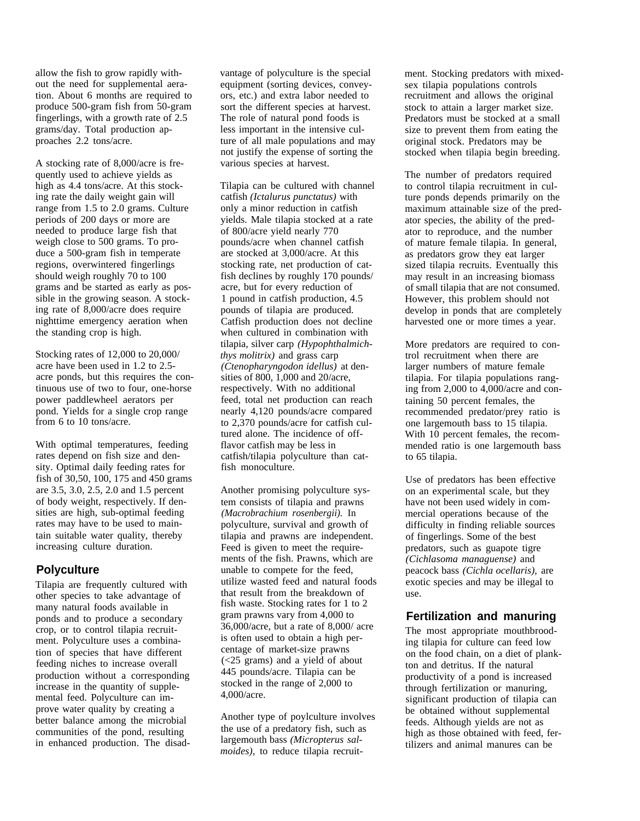allow the fish to grow rapidly without the need for supplemental aeration. About 6 months are required to produce 500-gram fish from 50-gram fingerlings, with a growth rate of 2.5 grams/day. Total production approaches 2.2 tons/acre.

A stocking rate of 8,000/acre is frequently used to achieve yields as high as 4.4 tons/acre. At this stocking rate the daily weight gain will range from 1.5 to 2.0 grams. Culture periods of 200 days or more are needed to produce large fish that weigh close to 500 grams. To produce a 500-gram fish in temperate regions, overwintered fingerlings should weigh roughly 70 to 100 grams and be started as early as possible in the growing season. A stocking rate of 8,000/acre does require nighttime emergency aeration when the standing crop is high.

Stocking rates of 12,000 to 20,000/ acre have been used in 1.2 to 2.5 acre ponds, but this requires the continuous use of two to four, one-horse power paddlewheel aerators per pond. Yields for a single crop range from 6 to 10 tons/acre.

With optimal temperatures, feeding rates depend on fish size and density. Optimal daily feeding rates for fish of 30,50, 100, 175 and 450 grams are 3.5, 3.0, 2.5, 2.0 and 1.5 percent of body weight, respectively. If densities are high, sub-optimal feeding rates may have to be used to maintain suitable water quality, thereby increasing culture duration.

## **Polyculture**

Tilapia are frequently cultured with other species to take advantage of many natural foods available in ponds and to produce a secondary crop, or to control tilapia recruitment. Polyculture uses a combination of species that have different feeding niches to increase overall production without a corresponding increase in the quantity of supplemental feed. Polyculture can improve water quality by creating a better balance among the microbial communities of the pond, resulting in enhanced production. The disadvantage of polyculture is the special equipment (sorting devices, conveyors, etc.) and extra labor needed to sort the different species at harvest. The role of natural pond foods is less important in the intensive culture of all male populations and may not justify the expense of sorting the various species at harvest.

Tilapia can be cultured with channel catfish *(Ictalurus punctatus)* with only a minor reduction in catfish yields. Male tilapia stocked at a rate of 800/acre yield nearly 770 pounds/acre when channel catfish are stocked at 3,000/acre. At this stocking rate, net production of catfish declines by roughly 170 pounds/ acre, but for every reduction of 1 pound in catfish production, 4.5 pounds of tilapia are produced. Catfish production does not decline when cultured in combination with tilapia, silver carp *(Hypophthalmichthys molitrix)* and grass carp *(Ctenopharyngodon idellus)* at densities of 800, 1,000 and 20/acre, respectively. With no additional feed, total net production can reach nearly 4,120 pounds/acre compared to 2,370 pounds/acre for catfish cultured alone. The incidence of offflavor catfish may be less in catfish/tilapia polyculture than catfish monoculture.

Another promising polyculture system consists of tilapia and prawns *(Macrobrachium rosenbergii).* In polyculture, survival and growth of tilapia and prawns are independent. Feed is given to meet the requirements of the fish. Prawns, which are unable to compete for the feed, utilize wasted feed and natural foods that result from the breakdown of fish waste. Stocking rates for 1 to 2 gram prawns vary from 4,000 to 36,000/acre, but a rate of 8,000/ acre is often used to obtain a high percentage of market-size prawns (<25 grams) and a yield of about 445 pounds/acre. Tilapia can be stocked in the range of 2,000 to 4,000/acre.

Another type of poylculture involves the use of a predatory fish, such as largemouth bass *(Micropterus salmoides),* to reduce tilapia recruit-

ment. Stocking predators with mixedsex tilapia populations controls recruitment and allows the original stock to attain a larger market size. Predators must be stocked at a small size to prevent them from eating the original stock. Predators may be stocked when tilapia begin breeding.

The number of predators required to control tilapia recruitment in culture ponds depends primarily on the maximum attainable size of the predator species, the ability of the predator to reproduce, and the number of mature female tilapia. In general, as predators grow they eat larger sized tilapia recruits. Eventually this may result in an increasing biomass of small tilapia that are not consumed. However, this problem should not develop in ponds that are completely harvested one or more times a year.

More predators are required to control recruitment when there are larger numbers of mature female tilapia. For tilapia populations ranging from 2,000 to 4,000/acre and containing 50 percent females, the recommended predator/prey ratio is one largemouth bass to 15 tilapia. With 10 percent females, the recommended ratio is one largemouth bass to 65 tilapia.

Use of predators has been effective on an experimental scale, but they have not been used widely in commercial operations because of the difficulty in finding reliable sources of fingerlings. Some of the best predators, such as guapote tigre *(Cichlasoma managuense)* and peacock bass *(Cichla ocellaris),* are exotic species and may be illegal to use.

## **Fertilization and manuring**

The most appropriate mouthbrooding tilapia for culture can feed low on the food chain, on a diet of plankton and detritus. If the natural productivity of a pond is increased through fertilization or manuring, significant production of tilapia can be obtained without supplemental feeds. Although yields are not as high as those obtained with feed, fertilizers and animal manures can be